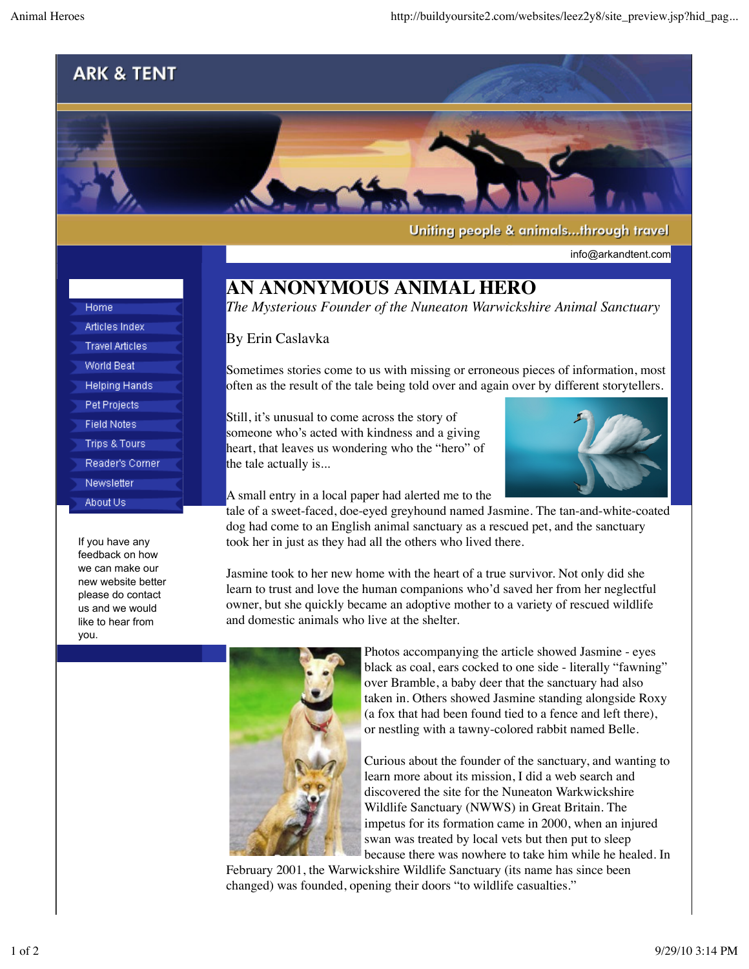## **ARK & TENT**



Uniting people & animals...through travel

info@arkandtent.com

## **AN ANONYMOUS ANIMAL HERO**

*The Mysterious Founder of the Nuneaton Warwickshire Animal Sanctuary*

## By Erin Caslavka

Sometimes stories come to us with missing or erroneous pieces of information, most often as the result of the tale being told over and again over by different storytellers.

Still, it's unusual to come across the story of someone who's acted with kindness and a giving heart, that leaves us wondering who the "hero" of the tale actually is...



A small entry in a local paper had alerted me to the

tale of a sweet-faced, doe-eyed greyhound named Jasmine. The tan-and-white-coated dog had come to an English animal sanctuary as a rescued pet, and the sanctuary took her in just as they had all the others who lived there.

Jasmine took to her new home with the heart of a true survivor. Not only did she learn to trust and love the human companions who'd saved her from her neglectful owner, but she quickly became an adoptive mother to a variety of rescued wildlife and domestic animals who live at the shelter.



Photos accompanying the article showed Jasmine - eyes black as coal, ears cocked to one side - literally "fawning" over Bramble, a baby deer that the sanctuary had also taken in. Others showed Jasmine standing alongside Roxy (a fox that had been found tied to a fence and left there), or nestling with a tawny-colored rabbit named Belle.

Curious about the founder of the sanctuary, and wanting to learn more about its mission, I did a web search and discovered the site for the Nuneaton Warkwickshire Wildlife Sanctuary (NWWS) in Great Britain. The impetus for its formation came in 2000, when an injured swan was treated by local vets but then put to sleep because there was nowhere to take him while he healed. In

February 2001, the Warwickshire Wildlife Sanctuary (its name has since been changed) was founded, opening their doors "to wildlife casualties."

Articles Index **Travel Articles World Beat Helping Hands** Pet Projects **Field Notes Trips & Tours** Reader's Corner Newsletter About Us

Home

If you have any feedback on how we can make our new website better please do contact us and we would like to hear from you.